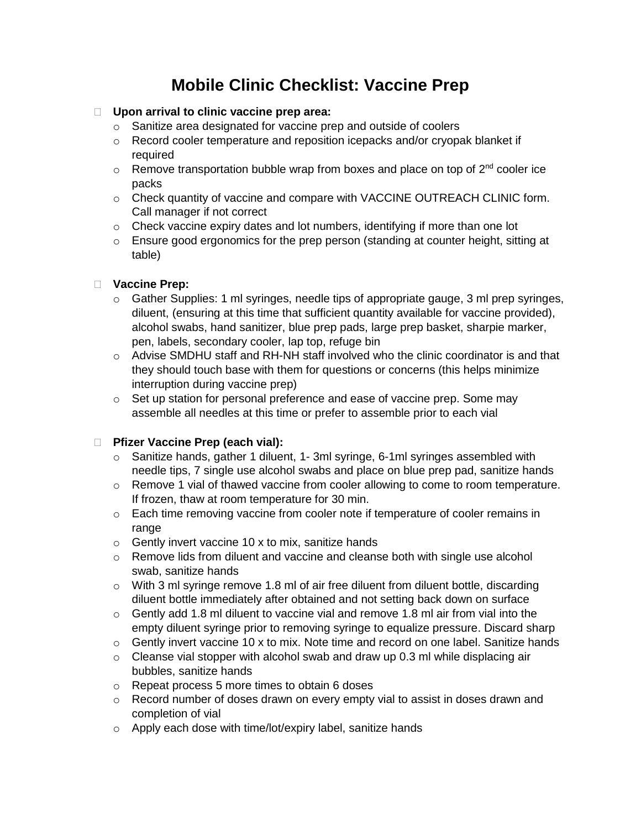# **Mobile Clinic Checklist: Vaccine Prep**

## **Upon arrival to clinic vaccine prep area:**

- o Sanitize area designated for vaccine prep and outside of coolers
- $\circ$  Record cooler temperature and reposition icepacks and/or cryopak blanket if required
- $\circ$  Remove transportation bubble wrap from boxes and place on top of  $2^{nd}$  cooler ice packs
- $\circ$  Check quantity of vaccine and compare with VACCINE OUTREACH CLINIC form. Call manager if not correct
- $\circ$  Check vaccine expiry dates and lot numbers, identifying if more than one lot
- $\circ$  Ensure good ergonomics for the prep person (standing at counter height, sitting at table)

#### **Vaccine Prep:**

- $\circ$  Gather Supplies: 1 ml syringes, needle tips of appropriate gauge, 3 ml prep syringes, diluent, (ensuring at this time that sufficient quantity available for vaccine provided), alcohol swabs, hand sanitizer, blue prep pads, large prep basket, sharpie marker, pen, labels, secondary cooler, lap top, refuge bin
- $\circ$  Advise SMDHU staff and RH-NH staff involved who the clinic coordinator is and that they should touch base with them for questions or concerns (this helps minimize interruption during vaccine prep)
- $\circ$  Set up station for personal preference and ease of vaccine prep. Some may assemble all needles at this time or prefer to assemble prior to each vial

# **Pfizer Vaccine Prep (each vial):**

- $\circ$  Sanitize hands, gather 1 diluent, 1-3ml syringe, 6-1ml syringes assembled with needle tips, 7 single use alcohol swabs and place on blue prep pad, sanitize hands
- $\circ$  Remove 1 vial of thawed vaccine from cooler allowing to come to room temperature. If frozen, thaw at room temperature for 30 min.
- $\circ$  Each time removing vaccine from cooler note if temperature of cooler remains in range
- $\circ$  Gently invert vaccine 10 x to mix, sanitize hands
- $\circ$  Remove lids from diluent and vaccine and cleanse both with single use alcohol swab, sanitize hands
- $\circ$  With 3 ml syringe remove 1.8 ml of air free diluent from diluent bottle, discarding diluent bottle immediately after obtained and not setting back down on surface
- $\circ$  Gently add 1.8 ml diluent to vaccine vial and remove 1.8 ml air from vial into the empty diluent syringe prior to removing syringe to equalize pressure. Discard sharp
- $\circ$  Gently invert vaccine 10 x to mix. Note time and record on one label. Sanitize hands
- $\circ$  Cleanse vial stopper with alcohol swab and draw up 0.3 ml while displacing air bubbles, sanitize hands
- o Repeat process 5 more times to obtain 6 doses
- $\circ$  Record number of doses drawn on every empty vial to assist in doses drawn and completion of vial
- o Apply each dose with time/lot/expiry label, sanitize hands